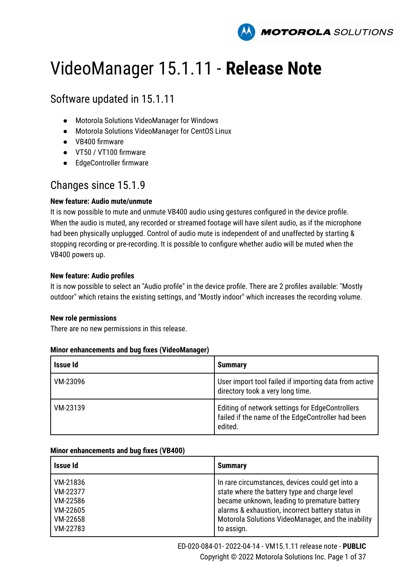

# VideoManager 15.1.11 - **Release Note**

# Software updated in 15.1.11

- Motorola Solutions VideoManager for Windows
- Motorola Solutions VideoManager for CentOS Linux
- VB400 firmware
- VT50 / VT100 firmware
- EdgeController firmware

# Changes since 15.1.9

### **New feature: Audio mute/unmute**

It is now possible to mute and unmute VB400 audio using gestures configured in the device profile. When the audio is muted, any recorded or streamed footage will have silent audio, as if the microphone had been physically unplugged. Control of audio mute is independent of and unaffected by starting & stopping recording or pre-recording. It is possible to configure whether audio will be muted when the VB400 powers up.

### **New feature: Audio profiles**

It is now possible to select an "Audio profile" in the device profile. There are 2 profiles available: "Mostly outdoor" which retains the existing settings, and "Mostly indoor" which increases the recording volume.

### **New role permissions**

There are no new permissions in this release.

### **Minor enhancements and bug fixes (VideoManager)**

| <b>Issue Id</b> | <b>Summary</b>                                                                                                  |
|-----------------|-----------------------------------------------------------------------------------------------------------------|
| VM-23096        | User import tool failed if importing data from active<br>directory took a very long time.                       |
| VM-23139        | Editing of network settings for EdgeControllers<br>failed if the name of the EdgeController had been<br>edited. |

### **Minor enhancements and bug fixes (VB400)**

| Issue Id | <b>Summary</b>                                     |
|----------|----------------------------------------------------|
| VM-21836 | In rare circumstances, devices could get into a    |
| VM-22377 | state where the battery type and charge level      |
| VM-22586 | became unknown, leading to premature battery       |
| VM-22605 | alarms & exhaustion, incorrect battery status in   |
| VM-22658 | Motorola Solutions VideoManager, and the inability |
| VM-22783 | to assign.                                         |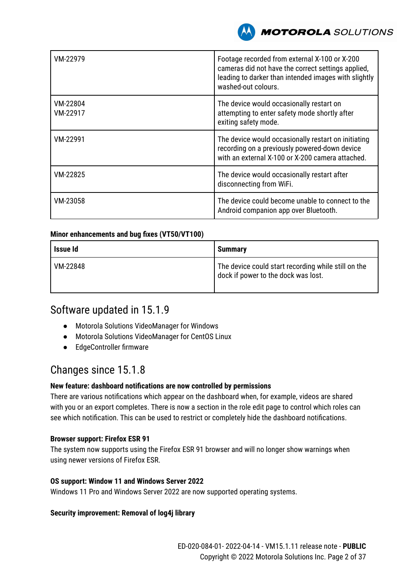

| VM-22979             | Footage recorded from external X-100 or X-200<br>cameras did not have the correct settings applied,<br>leading to darker than intended images with slightly<br>washed-out colours. |
|----------------------|------------------------------------------------------------------------------------------------------------------------------------------------------------------------------------|
| VM-22804<br>VM-22917 | The device would occasionally restart on<br>attempting to enter safety mode shortly after<br>exiting safety mode.                                                                  |
| VM-22991             | The device would occasionally restart on initiating<br>recording on a previously powered-down device<br>with an external X-100 or X-200 camera attached.                           |
| VM-22825             | The device would occasionally restart after<br>disconnecting from WiFi.                                                                                                            |
| VM-23058             | The device could become unable to connect to the<br>Android companion app over Bluetooth.                                                                                          |

### **Minor enhancements and bug fixes (VT50/VT100)**

| <b>Issue Id</b> | <b>Summary</b>                                                                             |
|-----------------|--------------------------------------------------------------------------------------------|
| VM-22848        | The device could start recording while still on the<br>dock if power to the dock was lost. |

# Software updated in 15.1.9

- Motorola Solutions VideoManager for Windows
- Motorola Solutions VideoManager for CentOS Linux
- EdgeController firmware

# Changes since 15.1.8

### **New feature: dashboard notifications are now controlled by permissions**

There are various notifications which appear on the dashboard when, for example, videos are shared with you or an export completes. There is now a section in the role edit page to control which roles can see which notification. This can be used to restrict or completely hide the dashboard notifications.

### **Browser support: Firefox ESR 91**

The system now supports using the Firefox ESR 91 browser and will no longer show warnings when using newer versions of Firefox ESR.

### **OS support: Window 11 and Windows Server 2022**

Windows 11 Pro and Windows Server 2022 are now supported operating systems.

### **Security improvement: Removal of log4j library**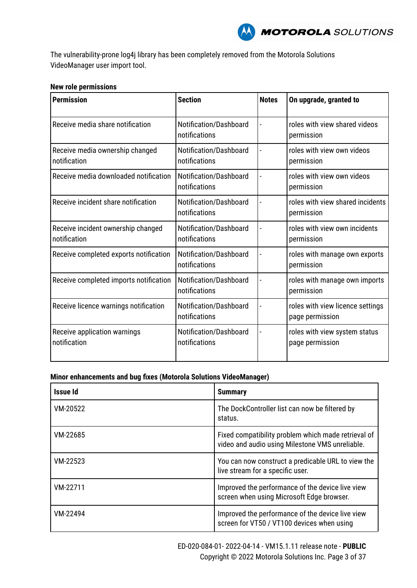

The vulnerability-prone log4j library has been completely removed from the Motorola Solutions VideoManager user import tool.

#### **New role permissions**

| <b>Permission</b>                                  | <b>Section</b>                          | <b>Notes</b> | On upgrade, granted to                              |
|----------------------------------------------------|-----------------------------------------|--------------|-----------------------------------------------------|
| Receive media share notification                   | Notification/Dashboard<br>notifications |              | roles with view shared videos<br>permission         |
| Receive media ownership changed<br>notification    | Notification/Dashboard<br>notifications |              | roles with view own videos<br>permission            |
| Receive media downloaded notification              | Notification/Dashboard<br>notifications |              | roles with view own videos<br>permission            |
| Receive incident share notification                | Notification/Dashboard<br>notifications |              | roles with view shared incidents<br>permission      |
| Receive incident ownership changed<br>notification | Notification/Dashboard<br>notifications |              | roles with view own incidents<br>permission         |
| Receive completed exports notification             | Notification/Dashboard<br>notifications |              | roles with manage own exports<br>permission         |
| Receive completed imports notification             | Notification/Dashboard<br>notifications |              | roles with manage own imports<br>permission         |
| Receive licence warnings notification              | Notification/Dashboard<br>notifications |              | roles with view licence settings<br>page permission |
| Receive application warnings<br>notification       | Notification/Dashboard<br>notifications |              | roles with view system status<br>page permission    |

| Issue Id | <b>Summary</b>                                                                                         |
|----------|--------------------------------------------------------------------------------------------------------|
| VM-20522 | The DockController list can now be filtered by<br>status.                                              |
| VM-22685 | Fixed compatibility problem which made retrieval of<br>video and audio using Milestone VMS unreliable. |
| VM-22523 | You can now construct a predicable URL to view the<br>live stream for a specific user.                 |
| VM-22711 | Improved the performance of the device live view<br>screen when using Microsoft Edge browser.          |
| VM-22494 | Improved the performance of the device live view<br>screen for VT50 / VT100 devices when using         |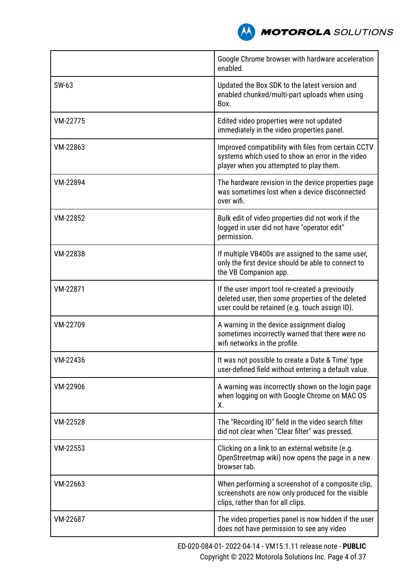

|          | Google Chrome browser with hardware acceleration<br>enabled.                                                                                           |
|----------|--------------------------------------------------------------------------------------------------------------------------------------------------------|
| SW-63    | Updated the Box SDK to the latest version and<br>enabled chunked/multi-part uploads when using<br>Box.                                                 |
| VM-22775 | Edited video properties were not updated<br>immediately in the video properties panel.                                                                 |
| VM-22863 | Improved compatibility with files from certain CCTV<br>systems which used to show an error in the video<br>player when you attempted to play them.     |
| VM-22894 | The hardware revision in the device properties page<br>was sometimes lost when a device disconnected<br>over wifi.                                     |
| VM-22852 | Bulk edit of video properties did not work if the<br>logged in user did not have "operator edit"<br>permission.                                        |
| VM-22838 | If multiple VB400s are assigned to the same user,<br>only the first device should be able to connect to<br>the VB Companion app.                       |
| VM-22871 | If the user import tool re-created a previously<br>deleted user, then some properties of the deleted<br>user could be retained (e.g. touch assign ID). |
| VM-22709 | A warning in the device assignment dialog<br>sometimes incorrectly warned that there were no<br>wifi networks in the profile.                          |
| VM-22436 | It was not possible to create a Date & Time' type<br>user-defined field without entering a default value.                                              |
| VM-22906 | A warning was incorrectly shown on the login page<br>when logging on with Google Chrome on MAC OS<br>Х.                                                |
| VM-22528 | The "Recording ID" field in the video search filter<br>did not clear when "Clear filter" was pressed.                                                  |
| VM-22553 | Clicking on a link to an external website (e.g.<br>OpenStreetmap wiki) now opens the page in a new<br>browser tab.                                     |
| VM-22663 | When performing a screenshot of a composite clip,<br>screenshots are now only produced for the visible<br>clips, rather than for all clips.            |
| VM-22687 | The video properties panel is now hidden if the user<br>does not have permission to see any video                                                      |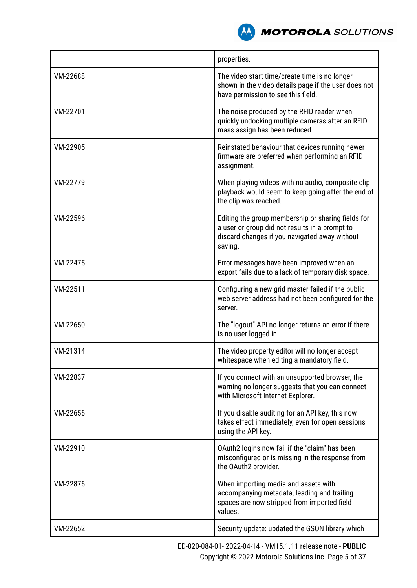

|          | properties.                                                                                                                                                      |
|----------|------------------------------------------------------------------------------------------------------------------------------------------------------------------|
| VM-22688 | The video start time/create time is no longer<br>shown in the video details page if the user does not<br>have permission to see this field.                      |
| VM-22701 | The noise produced by the RFID reader when<br>quickly undocking multiple cameras after an RFID<br>mass assign has been reduced.                                  |
| VM-22905 | Reinstated behaviour that devices running newer<br>firmware are preferred when performing an RFID<br>assignment.                                                 |
| VM-22779 | When playing videos with no audio, composite clip<br>playback would seem to keep going after the end of<br>the clip was reached.                                 |
| VM-22596 | Editing the group membership or sharing fields for<br>a user or group did not results in a prompt to<br>discard changes if you navigated away without<br>saving. |
| VM-22475 | Error messages have been improved when an<br>export fails due to a lack of temporary disk space.                                                                 |
| VM-22511 | Configuring a new grid master failed if the public<br>web server address had not been configured for the<br>server.                                              |
| VM-22650 | The "logout" API no longer returns an error if there<br>is no user logged in.                                                                                    |
| VM-21314 | The video property editor will no longer accept<br>whitespace when editing a mandatory field.                                                                    |
| VM-22837 | If you connect with an unsupported browser, the<br>warning no longer suggests that you can connect<br>with Microsoft Internet Explorer.                          |
| VM-22656 | If you disable auditing for an API key, this now<br>takes effect immediately, even for open sessions<br>using the API key.                                       |
| VM-22910 | OAuth2 logins now fail if the "claim" has been<br>misconfigured or is missing in the response from<br>the OAuth2 provider.                                       |
| VM-22876 | When importing media and assets with<br>accompanying metadata, leading and trailing<br>spaces are now stripped from imported field<br>values.                    |
| VM-22652 | Security update: updated the GSON library which                                                                                                                  |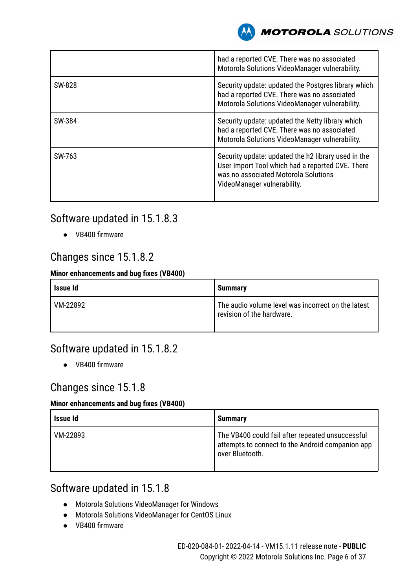

|        | had a reported CVE. There was no associated<br>Motorola Solutions VideoManager vulnerability.                                                                                  |
|--------|--------------------------------------------------------------------------------------------------------------------------------------------------------------------------------|
| SW-828 | Security update: updated the Postgres library which<br>had a reported CVE. There was no associated<br>Motorola Solutions VideoManager vulnerability.                           |
| SW-384 | Security update: updated the Netty library which<br>had a reported CVE. There was no associated<br>Motorola Solutions VideoManager vulnerability.                              |
| SW-763 | Security update: updated the h2 library used in the<br>User Import Tool which had a reported CVE. There<br>was no associated Motorola Solutions<br>VideoManager vulnerability. |

# Software updated in 15.1.8.3

● VB400 firmware

# Changes since 15.1.8.2

# **Minor enhancements and bug fixes (VB400)**

| Issue Id | <b>Summary</b>                                                                  |
|----------|---------------------------------------------------------------------------------|
| VM-22892 | The audio volume level was incorrect on the latest<br>revision of the hardware. |

# Software updated in 15.1.8.2

● VB400 firmware

# Changes since 15.1.8

### **Minor enhancements and bug fixes (VB400)**

| Issue Id | <b>Summary</b>                                                                                                          |
|----------|-------------------------------------------------------------------------------------------------------------------------|
| VM-22893 | The VB400 could fail after repeated unsuccessful<br>attempts to connect to the Android companion app<br>over Bluetooth. |

# Software updated in 15.1.8

- Motorola Solutions VideoManager for Windows
- Motorola Solutions VideoManager for CentOS Linux
- VB400 firmware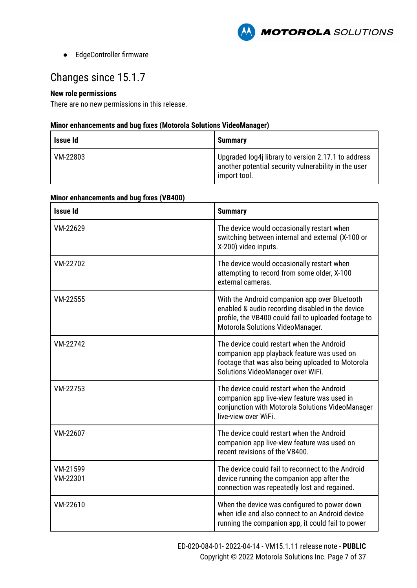

● EdgeController firmware

# Changes since 15.1.7

## **New role permissions**

There are no new permissions in this release.

| <b>Issue Id</b> | <b>Summary</b>                                                                                                              |
|-----------------|-----------------------------------------------------------------------------------------------------------------------------|
| VM-22803        | Upgraded log4j library to version 2.17.1 to address<br>another potential security vulnerability in the user<br>import tool. |

| <b>Issue Id</b>      | <b>Summary</b>                                                                                                                                                                                |
|----------------------|-----------------------------------------------------------------------------------------------------------------------------------------------------------------------------------------------|
| VM-22629             | The device would occasionally restart when<br>switching between internal and external (X-100 or<br>X-200) video inputs.                                                                       |
| VM-22702             | The device would occasionally restart when<br>attempting to record from some older, X-100<br>external cameras.                                                                                |
| VM-22555             | With the Android companion app over Bluetooth<br>enabled & audio recording disabled in the device<br>profile, the VB400 could fail to uploaded footage to<br>Motorola Solutions VideoManager. |
| VM-22742             | The device could restart when the Android<br>companion app playback feature was used on<br>footage that was also being uploaded to Motorola<br>Solutions VideoManager over WiFi.              |
| VM-22753             | The device could restart when the Android<br>companion app live-view feature was used in<br>conjunction with Motorola Solutions VideoManager<br>live-view over WiFi.                          |
| VM-22607             | The device could restart when the Android<br>companion app live-view feature was used on<br>recent revisions of the VB400.                                                                    |
| VM-21599<br>VM-22301 | The device could fail to reconnect to the Android<br>device running the companion app after the<br>connection was repeatedly lost and regained.                                               |
| VM-22610             | When the device was configured to power down<br>when idle and also connect to an Android device<br>running the companion app, it could fail to power                                          |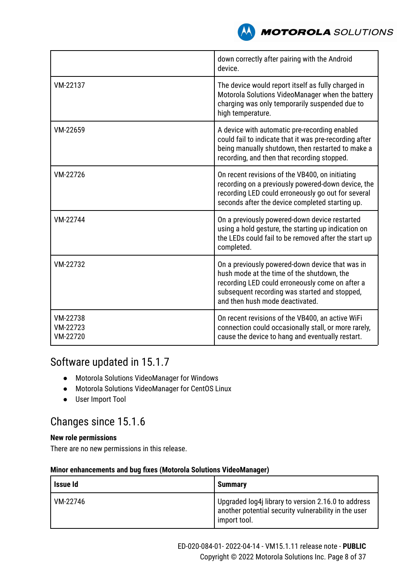

|                                  | down correctly after pairing with the Android<br>device.                                                                                                                                                                             |
|----------------------------------|--------------------------------------------------------------------------------------------------------------------------------------------------------------------------------------------------------------------------------------|
| VM-22137                         | The device would report itself as fully charged in<br>Motorola Solutions VideoManager when the battery<br>charging was only temporarily suspended due to<br>high temperature.                                                        |
| VM-22659                         | A device with automatic pre-recording enabled<br>could fail to indicate that it was pre-recording after<br>being manually shutdown, then restarted to make a<br>recording, and then that recording stopped.                          |
| VM-22726                         | On recent revisions of the VB400, on initiating<br>recording on a previously powered-down device, the<br>recording LED could erroneously go out for several<br>seconds after the device completed starting up.                       |
| VM-22744                         | On a previously powered-down device restarted<br>using a hold gesture, the starting up indication on<br>the LEDs could fail to be removed after the start up<br>completed.                                                           |
| VM-22732                         | On a previously powered-down device that was in<br>hush mode at the time of the shutdown, the<br>recording LED could erroneously come on after a<br>subsequent recording was started and stopped,<br>and then hush mode deactivated. |
| VM-22738<br>VM-22723<br>VM-22720 | On recent revisions of the VB400, an active WiFi<br>connection could occasionally stall, or more rarely,<br>cause the device to hang and eventually restart.                                                                         |

# Software updated in 15.1.7

- Motorola Solutions VideoManager for Windows
- Motorola Solutions VideoManager for CentOS Linux
- User Import Tool

# Changes since 15.1.6

### **New role permissions**

There are no new permissions in this release.

| Issue Id | <b>Summary</b>                                                                                                              |
|----------|-----------------------------------------------------------------------------------------------------------------------------|
| VM-22746 | Upgraded log4j library to version 2.16.0 to address<br>another potential security vulnerability in the user<br>import tool. |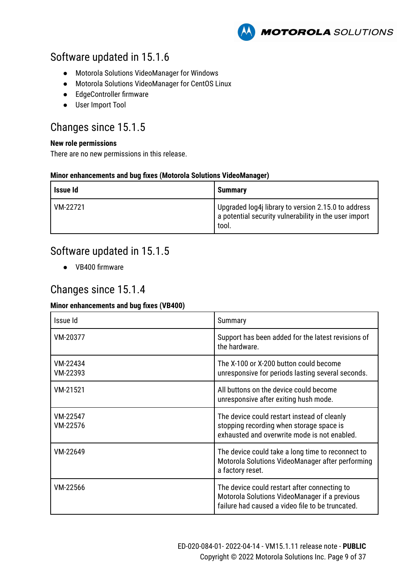

# Software updated in 15.1.6

- Motorola Solutions VideoManager for Windows
- Motorola Solutions VideoManager for CentOS Linux
- EdgeController firmware
- User Import Tool

# Changes since 15.1.5

### **New role permissions**

There are no new permissions in this release.

### **Minor enhancements and bug fixes (Motorola Solutions VideoManager)**

| Issue Id | <b>Summarv</b>                                                                                                        |
|----------|-----------------------------------------------------------------------------------------------------------------------|
| VM-22721 | Upgraded log4j library to version 2.15.0 to address<br>a potential security vulnerability in the user import<br>tool. |

# Software updated in 15.1.5

● VB400 firmware

# Changes since 15.1.4

### **Minor enhancements and bug fixes (VB400)**

| Issue Id             | Summary                                                                                                                                           |
|----------------------|---------------------------------------------------------------------------------------------------------------------------------------------------|
| VM-20377             | Support has been added for the latest revisions of<br>the hardware.                                                                               |
| VM-22434<br>VM-22393 | The X-100 or X-200 button could become<br>unresponsive for periods lasting several seconds.                                                       |
| VM-21521             | All buttons on the device could become<br>unresponsive after exiting hush mode.                                                                   |
| VM-22547<br>VM-22576 | The device could restart instead of cleanly<br>stopping recording when storage space is<br>exhausted and overwrite mode is not enabled.           |
| VM-22649             | The device could take a long time to reconnect to<br>Motorola Solutions VideoManager after performing<br>a factory reset.                         |
| VM-22566             | The device could restart after connecting to<br>Motorola Solutions VideoManager if a previous<br>failure had caused a video file to be truncated. |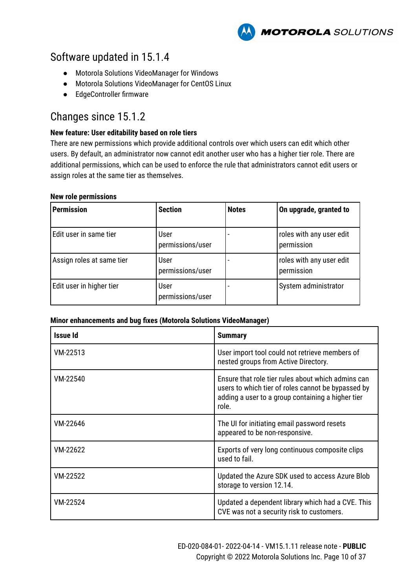**MOTOROLA** SOLUTIONS

# Software updated in 15.1.4

- Motorola Solutions VideoManager for Windows
- Motorola Solutions VideoManager for CentOS Linux
- EdgeController firmware

# Changes since 15.1.2

### **New feature: User editability based on role tiers**

There are new permissions which provide additional controls over which users can edit which other users. By default, an administrator now cannot edit another user who has a higher tier role. There are additional permissions, which can be used to enforce the rule that administrators cannot edit users or assign roles at the same tier as themselves.

#### **New role permissions**

| <b>Permission</b>         | <b>Section</b>           | <b>Notes</b> | On upgrade, granted to                 |
|---------------------------|--------------------------|--------------|----------------------------------------|
| Edit user in same tier    | User<br>permissions/user |              | roles with any user edit<br>permission |
| Assign roles at same tier | User<br>permissions/user |              | roles with any user edit<br>permission |
| Edit user in higher tier  | User<br>permissions/user |              | System administrator                   |

| <b>Issue Id</b> | <b>Summary</b>                                                                                                                                                         |
|-----------------|------------------------------------------------------------------------------------------------------------------------------------------------------------------------|
| VM-22513        | User import tool could not retrieve members of<br>nested groups from Active Directory.                                                                                 |
| VM-22540        | Ensure that role tier rules about which admins can<br>users to which tier of roles cannot be bypassed by<br>adding a user to a group containing a higher tier<br>role. |
| VM-22646        | The UI for initiating email password resets<br>appeared to be non-responsive.                                                                                          |
| VM-22622        | Exports of very long continuous composite clips<br>used to fail.                                                                                                       |
| VM-22522        | Updated the Azure SDK used to access Azure Blob<br>storage to version 12.14.                                                                                           |
| VM-22524        | Updated a dependent library which had a CVE. This<br>CVE was not a security risk to customers.                                                                         |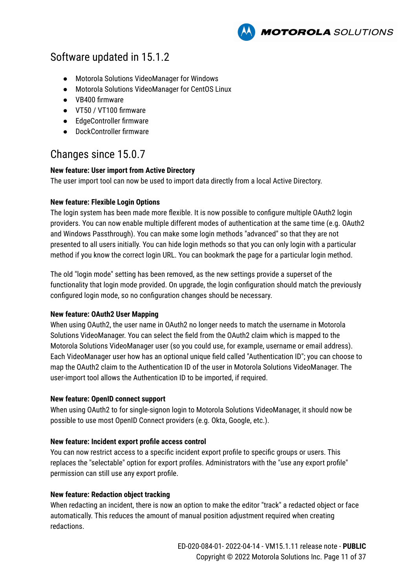**MOTOROLA** SOLUTIONS

# Software updated in 15.1.2

- Motorola Solutions VideoManager for Windows
- Motorola Solutions VideoManager for CentOS Linux
- VB400 firmware
- VT50 / VT100 firmware
- EdgeController firmware
- DockController firmware

# Changes since 15.0.7

### **New feature: User import from Active Directory**

The user import tool can now be used to import data directly from a local Active Directory.

### **New feature: Flexible Login Options**

The login system has been made more flexible. It is now possible to configure multiple OAuth2 login providers. You can now enable multiple different modes of authentication at the same time (e.g. OAuth2 and Windows Passthrough). You can make some login methods "advanced" so that they are not presented to all users initially. You can hide login methods so that you can only login with a particular method if you know the correct login URL. You can bookmark the page for a particular login method.

The old "login mode" setting has been removed, as the new settings provide a superset of the functionality that login mode provided. On upgrade, the login configuration should match the previously configured login mode, so no configuration changes should be necessary.

### **New feature: OAuth2 User Mapping**

When using OAuth2, the user name in OAuth2 no longer needs to match the username in Motorola Solutions VideoManager. You can select the field from the OAuth2 claim which is mapped to the Motorola Solutions VideoManager user (so you could use, for example, username or email address). Each VideoManager user how has an optional unique field called "Authentication ID"; you can choose to map the OAuth2 claim to the Authentication ID of the user in Motorola Solutions VideoManager. The user-import tool allows the Authentication ID to be imported, if required.

#### **New feature: OpenID connect support**

When using OAuth2 to for single-signon login to Motorola Solutions VideoManager, it should now be possible to use most OpenID Connect providers (e.g. Okta, Google, etc.).

#### **New feature: Incident export profile access control**

You can now restrict access to a specific incident export profile to specific groups or users. This replaces the "selectable" option for export profiles. Administrators with the "use any export profile" permission can still use any export profile.

### **New feature: Redaction object tracking**

When redacting an incident, there is now an option to make the editor "track" a redacted object or face automatically. This reduces the amount of manual position adjustment required when creating redactions.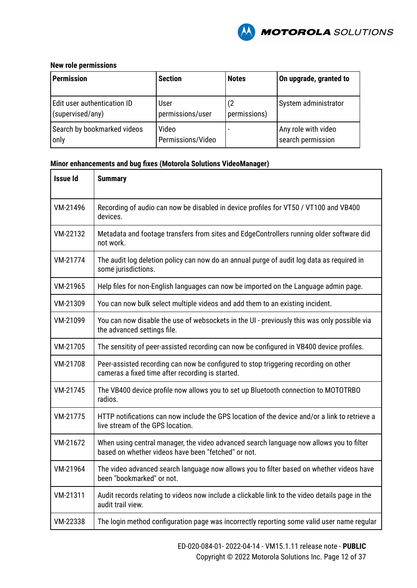

#### **New role permissions**

| <b>Permission</b>           | <b>Section</b>    | <b>Notes</b> | On upgrade, granted to |
|-----------------------------|-------------------|--------------|------------------------|
| Edit user authentication ID | User              | (2           | System administrator   |
| (supervised/any)            | permissions/user  | permissions) |                        |
| Search by bookmarked videos | Video             |              | Any role with video    |
| only                        | Permissions/Video |              | search permission      |

| <b>Issue Id</b> | <b>Summary</b>                                                                                                                                 |
|-----------------|------------------------------------------------------------------------------------------------------------------------------------------------|
| VM-21496        | Recording of audio can now be disabled in device profiles for VT50 / VT100 and VB400<br>devices.                                               |
| VM-22132        | Metadata and footage transfers from sites and EdgeControllers running older software did<br>not work.                                          |
| VM-21774        | The audit log deletion policy can now do an annual purge of audit log data as required in<br>some jurisdictions.                               |
| VM-21965        | Help files for non-English languages can now be imported on the Language admin page.                                                           |
| VM-21309        | You can now bulk select multiple videos and add them to an existing incident.                                                                  |
| VM-21099        | You can now disable the use of websockets in the UI - previously this was only possible via<br>the advanced settings file.                     |
| VM-21705        | The sensitity of peer-assisted recording can now be configured in VB400 device profiles.                                                       |
| VM-21708        | Peer-assisted recording can now be configured to stop triggering recording on other<br>cameras a fixed time after recording is started.        |
| VM-21745        | The VB400 device profile now allows you to set up Bluetooth connection to MOTOTRBO<br>radios.                                                  |
| VM-21775        | HTTP notifications can now include the GPS location of the device and/or a link to retrieve a<br>live stream of the GPS location.              |
| VM-21672        | When using central manager, the video advanced search language now allows you to filter<br>based on whether videos have been "fetched" or not. |
| VM-21964        | The video advanced search language now allows you to filter based on whether videos have<br>been "bookmarked" or not.                          |
| VM-21311        | Audit records relating to videos now include a clickable link to the video details page in the<br>audit trail view.                            |
| VM-22338        | The login method configuration page was incorrectly reporting some valid user name regular                                                     |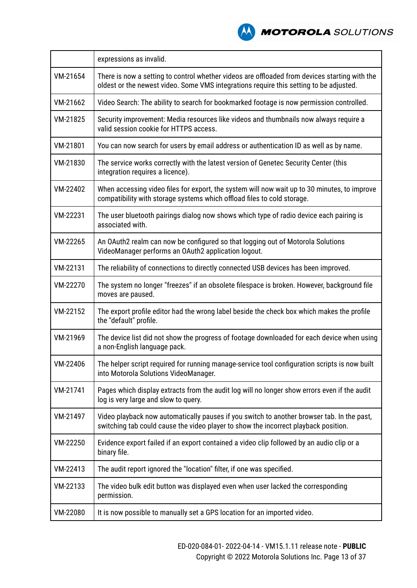

|          | expressions as invalid.                                                                                                                                                                 |
|----------|-----------------------------------------------------------------------------------------------------------------------------------------------------------------------------------------|
| VM-21654 | There is now a setting to control whether videos are offloaded from devices starting with the<br>oldest or the newest video. Some VMS integrations require this setting to be adjusted. |
| VM-21662 | Video Search: The ability to search for bookmarked footage is now permission controlled.                                                                                                |
| VM-21825 | Security improvement: Media resources like videos and thumbnails now always require a<br>valid session cookie for HTTPS access.                                                         |
| VM-21801 | You can now search for users by email address or authentication ID as well as by name.                                                                                                  |
| VM-21830 | The service works correctly with the latest version of Genetec Security Center (this<br>integration requires a licence).                                                                |
| VM-22402 | When accessing video files for export, the system will now wait up to 30 minutes, to improve<br>compatibility with storage systems which offload files to cold storage.                 |
| VM-22231 | The user bluetooth pairings dialog now shows which type of radio device each pairing is<br>associated with.                                                                             |
| VM-22265 | An OAuth2 realm can now be configured so that logging out of Motorola Solutions<br>VideoManager performs an OAuth2 application logout.                                                  |
| VM-22131 | The reliability of connections to directly connected USB devices has been improved.                                                                                                     |
| VM-22270 | The system no longer "freezes" if an obsolete filespace is broken. However, background file<br>moves are paused.                                                                        |
| VM-22152 | The export profile editor had the wrong label beside the check box which makes the profile<br>the "default" profile.                                                                    |
| VM-21969 | The device list did not show the progress of footage downloaded for each device when using<br>a non-English language pack.                                                              |
| VM-22406 | The helper script required for running manage-service tool configuration scripts is now built<br>into Motorola Solutions VideoManager.                                                  |
| VM-21741 | Pages which display extracts from the audit log will no longer show errors even if the audit<br>log is very large and slow to query.                                                    |
| VM-21497 | Video playback now automatically pauses if you switch to another browser tab. In the past,<br>switching tab could cause the video player to show the incorrect playback position.       |
| VM-22250 | Evidence export failed if an export contained a video clip followed by an audio clip or a<br>binary file.                                                                               |
| VM-22413 | The audit report ignored the "location" filter, if one was specified.                                                                                                                   |
| VM-22133 | The video bulk edit button was displayed even when user lacked the corresponding<br>permission.                                                                                         |
| VM-22080 | It is now possible to manually set a GPS location for an imported video.                                                                                                                |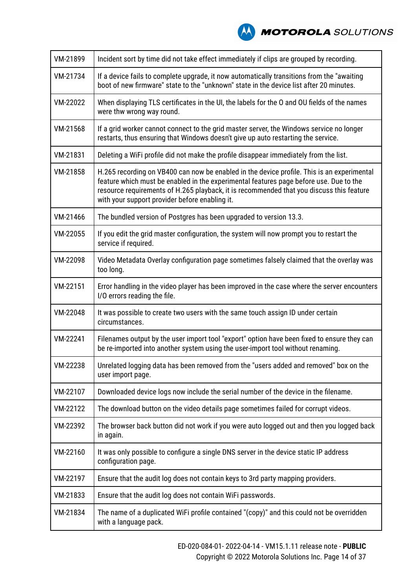

| VM-21899 | Incident sort by time did not take effect immediately if clips are grouped by recording.                                                                                                                                                                                                                                           |
|----------|------------------------------------------------------------------------------------------------------------------------------------------------------------------------------------------------------------------------------------------------------------------------------------------------------------------------------------|
| VM-21734 | If a device fails to complete upgrade, it now automatically transitions from the "awaiting<br>boot of new firmware" state to the "unknown" state in the device list after 20 minutes.                                                                                                                                              |
| VM-22022 | When displaying TLS certificates in the UI, the labels for the O and OU fields of the names<br>were thw wrong way round.                                                                                                                                                                                                           |
| VM-21568 | If a grid worker cannot connect to the grid master server, the Windows service no longer<br>restarts, thus ensuring that Windows doesn't give up auto restarting the service.                                                                                                                                                      |
| VM-21831 | Deleting a WiFi profile did not make the profile disappear immediately from the list.                                                                                                                                                                                                                                              |
| VM-21858 | H.265 recording on VB400 can now be enabled in the device profile. This is an experimental<br>feature which must be enabled in the experimental features page before use. Due to the<br>resource requirements of H.265 playback, it is recommended that you discuss this feature<br>with your support provider before enabling it. |
| VM-21466 | The bundled version of Postgres has been upgraded to version 13.3.                                                                                                                                                                                                                                                                 |
| VM-22055 | If you edit the grid master configuration, the system will now prompt you to restart the<br>service if required.                                                                                                                                                                                                                   |
| VM-22098 | Video Metadata Overlay configuration page sometimes falsely claimed that the overlay was<br>too long.                                                                                                                                                                                                                              |
| VM-22151 | Error handling in the video player has been improved in the case where the server encounters<br>I/O errors reading the file.                                                                                                                                                                                                       |
| VM-22048 | It was possible to create two users with the same touch assign ID under certain<br>circumstances.                                                                                                                                                                                                                                  |
| VM-22241 | Filenames output by the user import tool "export" option have been fixed to ensure they can<br>be re-imported into another system using the user-import tool without renaming.                                                                                                                                                     |
| VM-22238 | Unrelated logging data has been removed from the "users added and removed" box on the<br>user import page.                                                                                                                                                                                                                         |
| VM-22107 | Downloaded device logs now include the serial number of the device in the filename.                                                                                                                                                                                                                                                |
| VM-22122 | The download button on the video details page sometimes failed for corrupt videos.                                                                                                                                                                                                                                                 |
| VM-22392 | The browser back button did not work if you were auto logged out and then you logged back<br>in again.                                                                                                                                                                                                                             |
| VM-22160 | It was only possible to configure a single DNS server in the device static IP address<br>configuration page.                                                                                                                                                                                                                       |
| VM-22197 | Ensure that the audit log does not contain keys to 3rd party mapping providers.                                                                                                                                                                                                                                                    |
| VM-21833 | Ensure that the audit log does not contain WiFi passwords.                                                                                                                                                                                                                                                                         |
| VM-21834 | The name of a duplicated WiFi profile contained "(copy)" and this could not be overridden<br>with a language pack.                                                                                                                                                                                                                 |
|          |                                                                                                                                                                                                                                                                                                                                    |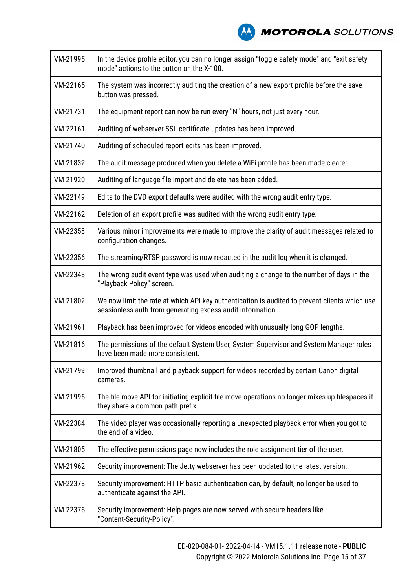

| VM-21995 | In the device profile editor, you can no longer assign "toggle safety mode" and "exit safety<br>mode" actions to the button on the X-100.                   |
|----------|-------------------------------------------------------------------------------------------------------------------------------------------------------------|
| VM-22165 | The system was incorrectly auditing the creation of a new export profile before the save<br>button was pressed.                                             |
| VM-21731 | The equipment report can now be run every "N" hours, not just every hour.                                                                                   |
| VM-22161 | Auditing of webserver SSL certificate updates has been improved.                                                                                            |
| VM-21740 | Auditing of scheduled report edits has been improved.                                                                                                       |
| VM-21832 | The audit message produced when you delete a WiFi profile has been made clearer.                                                                            |
| VM-21920 | Auditing of language file import and delete has been added.                                                                                                 |
| VM-22149 | Edits to the DVD export defaults were audited with the wrong audit entry type.                                                                              |
| VM-22162 | Deletion of an export profile was audited with the wrong audit entry type.                                                                                  |
| VM-22358 | Various minor improvements were made to improve the clarity of audit messages related to<br>configuration changes.                                          |
| VM-22356 | The streaming/RTSP password is now redacted in the audit log when it is changed.                                                                            |
| VM-22348 | The wrong audit event type was used when auditing a change to the number of days in the<br>"Playback Policy" screen.                                        |
| VM-21802 | We now limit the rate at which API key authentication is audited to prevent clients which use<br>sessionless auth from generating excess audit information. |
| VM-21961 | Playback has been improved for videos encoded with unusually long GOP lengths.                                                                              |
| VM-21816 | The permissions of the default System User, System Supervisor and System Manager roles<br>have been made more consistent.                                   |
| VM-21799 | Improved thumbnail and playback support for videos recorded by certain Canon digital<br>cameras.                                                            |
| VM-21996 | The file move API for initiating explicit file move operations no longer mixes up filespaces if<br>they share a common path prefix.                         |
| VM-22384 | The video player was occasionally reporting a unexpected playback error when you got to<br>the end of a video.                                              |
| VM-21805 | The effective permissions page now includes the role assignment tier of the user.                                                                           |
| VM-21962 | Security improvement: The Jetty webserver has been updated to the latest version.                                                                           |
| VM-22378 | Security improvement: HTTP basic authentication can, by default, no longer be used to<br>authenticate against the API.                                      |
| VM-22376 | Security improvement: Help pages are now served with secure headers like<br>"Content-Security-Policy".                                                      |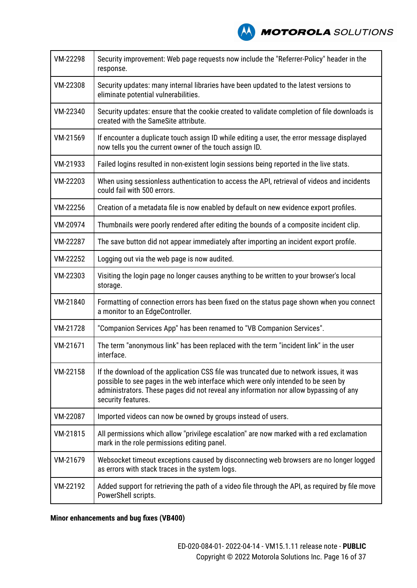

| VM-22298 | Security improvement: Web page requests now include the "Referrer-Policy" header in the<br>response.                                                                                                                                                                                        |
|----------|---------------------------------------------------------------------------------------------------------------------------------------------------------------------------------------------------------------------------------------------------------------------------------------------|
| VM-22308 | Security updates: many internal libraries have been updated to the latest versions to<br>eliminate potential vulnerabilities.                                                                                                                                                               |
| VM-22340 | Security updates: ensure that the cookie created to validate completion of file downloads is<br>created with the SameSite attribute.                                                                                                                                                        |
| VM-21569 | If encounter a duplicate touch assign ID while editing a user, the error message displayed<br>now tells you the current owner of the touch assign ID.                                                                                                                                       |
| VM-21933 | Failed logins resulted in non-existent login sessions being reported in the live stats.                                                                                                                                                                                                     |
| VM-22203 | When using sessionless authentication to access the API, retrieval of videos and incidents<br>could fail with 500 errors.                                                                                                                                                                   |
| VM-22256 | Creation of a metadata file is now enabled by default on new evidence export profiles.                                                                                                                                                                                                      |
| VM-20974 | Thumbnails were poorly rendered after editing the bounds of a composite incident clip.                                                                                                                                                                                                      |
| VM-22287 | The save button did not appear immediately after importing an incident export profile.                                                                                                                                                                                                      |
| VM-22252 | Logging out via the web page is now audited.                                                                                                                                                                                                                                                |
| VM-22303 | Visiting the login page no longer causes anything to be written to your browser's local<br>storage.                                                                                                                                                                                         |
| VM-21840 | Formatting of connection errors has been fixed on the status page shown when you connect<br>a monitor to an EdgeController.                                                                                                                                                                 |
| VM-21728 | "Companion Services App" has been renamed to "VB Companion Services".                                                                                                                                                                                                                       |
| VM-21671 | The term "anonymous link" has been replaced with the term "incident link" in the user<br>interface.                                                                                                                                                                                         |
| VM-22158 | If the download of the application CSS file was truncated due to network issues, it was<br>possible to see pages in the web interface which were only intended to be seen by<br>administrators. These pages did not reveal any information nor allow bypassing of any<br>security features. |
| VM-22087 | Imported videos can now be owned by groups instead of users.                                                                                                                                                                                                                                |
| VM-21815 | All permissions which allow "privilege escalation" are now marked with a red exclamation<br>mark in the role permissions editing panel.                                                                                                                                                     |
| VM-21679 | Websocket timeout exceptions caused by disconnecting web browsers are no longer logged<br>as errors with stack traces in the system logs.                                                                                                                                                   |
| VM-22192 | Added support for retrieving the path of a video file through the API, as required by file move<br>PowerShell scripts.                                                                                                                                                                      |

**Minor enhancements and bug fixes (VB400)**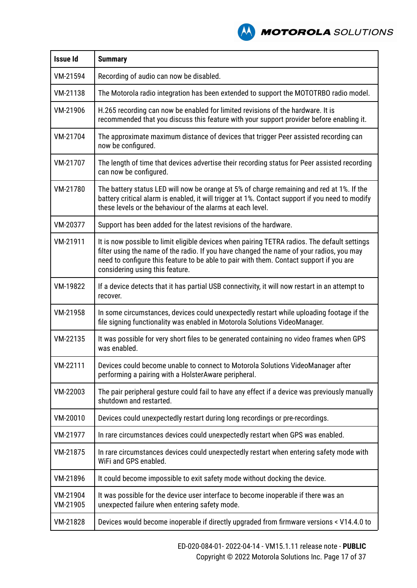**A MOTOROLA** SOLUTIONS

| <b>Issue Id</b>      | <b>Summary</b>                                                                                                                                                                                                                                                                                                         |
|----------------------|------------------------------------------------------------------------------------------------------------------------------------------------------------------------------------------------------------------------------------------------------------------------------------------------------------------------|
| VM-21594             | Recording of audio can now be disabled.                                                                                                                                                                                                                                                                                |
| VM-21138             | The Motorola radio integration has been extended to support the MOTOTRBO radio model.                                                                                                                                                                                                                                  |
| VM-21906             | H.265 recording can now be enabled for limited revisions of the hardware. It is<br>recommended that you discuss this feature with your support provider before enabling it.                                                                                                                                            |
| VM-21704             | The approximate maximum distance of devices that trigger Peer assisted recording can<br>now be configured.                                                                                                                                                                                                             |
| VM-21707             | The length of time that devices advertise their recording status for Peer assisted recording<br>can now be configured.                                                                                                                                                                                                 |
| VM-21780             | The battery status LED will now be orange at 5% of charge remaining and red at 1%. If the<br>battery critical alarm is enabled, it will trigger at 1%. Contact support if you need to modify<br>these levels or the behaviour of the alarms at each level.                                                             |
| VM-20377             | Support has been added for the latest revisions of the hardware.                                                                                                                                                                                                                                                       |
| VM-21911             | It is now possible to limit eligible devices when pairing TETRA radios. The default settings<br>filter using the name of the radio. If you have changed the name of your radios, you may<br>need to configure this feature to be able to pair with them. Contact support if you are<br>considering using this feature. |
| VM-19822             | If a device detects that it has partial USB connectivity, it will now restart in an attempt to<br>recover.                                                                                                                                                                                                             |
| VM-21958             | In some circumstances, devices could unexpectedly restart while uploading footage if the<br>file signing functionality was enabled in Motorola Solutions VideoManager.                                                                                                                                                 |
| VM-22135             | It was possible for very short files to be generated containing no video frames when GPS<br>was enabled.                                                                                                                                                                                                               |
| VM-22111             | Devices could become unable to connect to Motorola Solutions VideoManager after<br>performing a pairing with a HolsterAware peripheral.                                                                                                                                                                                |
| VM-22003             | The pair peripheral gesture could fail to have any effect if a device was previously manually<br>shutdown and restarted.                                                                                                                                                                                               |
| VM-20010             | Devices could unexpectedly restart during long recordings or pre-recordings.                                                                                                                                                                                                                                           |
| VM-21977             | In rare circumstances devices could unexpectedly restart when GPS was enabled.                                                                                                                                                                                                                                         |
| VM-21875             | In rare circumstances devices could unexpectedly restart when entering safety mode with<br>WiFi and GPS enabled.                                                                                                                                                                                                       |
| VM-21896             | It could become impossible to exit safety mode without docking the device.                                                                                                                                                                                                                                             |
| VM-21904<br>VM-21905 | It was possible for the device user interface to become inoperable if there was an<br>unexpected failure when entering safety mode.                                                                                                                                                                                    |
| VM-21828             | Devices would become inoperable if directly upgraded from firmware versions < V14.4.0 to                                                                                                                                                                                                                               |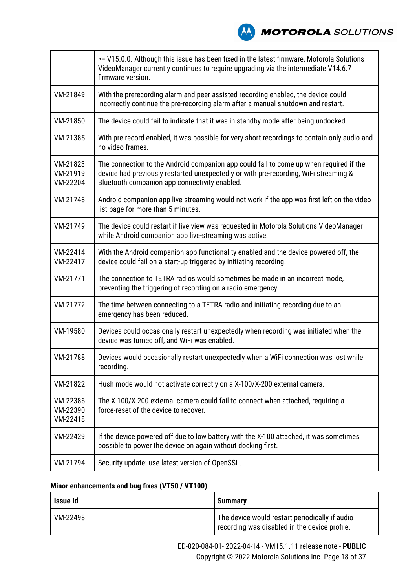**NOTOROLA** SOLUTIONS

|                                  | >= V15.0.0. Although this issue has been fixed in the latest firmware, Motorola Solutions<br>VideoManager currently continues to require upgrading via the intermediate V14.6.7<br>firmware version.                            |
|----------------------------------|---------------------------------------------------------------------------------------------------------------------------------------------------------------------------------------------------------------------------------|
| VM-21849                         | With the prerecording alarm and peer assisted recording enabled, the device could<br>incorrectly continue the pre-recording alarm after a manual shutdown and restart.                                                          |
| VM-21850                         | The device could fail to indicate that it was in standby mode after being undocked.                                                                                                                                             |
| VM-21385                         | With pre-record enabled, it was possible for very short recordings to contain only audio and<br>no video frames.                                                                                                                |
| VM-21823<br>VM-21919<br>VM-22204 | The connection to the Android companion app could fail to come up when required if the<br>device had previously restarted unexpectedly or with pre-recording, WiFi streaming &<br>Bluetooth companion app connectivity enabled. |
| VM-21748                         | Android companion app live streaming would not work if the app was first left on the video<br>list page for more than 5 minutes.                                                                                                |
| VM-21749                         | The device could restart if live view was requested in Motorola Solutions VideoManager<br>while Android companion app live-streaming was active.                                                                                |
| VM-22414<br>VM-22417             | With the Android companion app functionality enabled and the device powered off, the<br>device could fail on a start-up triggered by initiating recording.                                                                      |
| VM-21771                         | The connection to TETRA radios would sometimes be made in an incorrect mode,<br>preventing the triggering of recording on a radio emergency.                                                                                    |
| VM-21772                         | The time between connecting to a TETRA radio and initiating recording due to an<br>emergency has been reduced.                                                                                                                  |
| VM-19580                         | Devices could occasionally restart unexpectedly when recording was initiated when the<br>device was turned off, and WiFi was enabled.                                                                                           |
| VM-21788                         | Devices would occasionally restart unexpectedly when a WiFi connection was lost while<br>recording.                                                                                                                             |
| VM-21822                         | Hush mode would not activate correctly on a X-100/X-200 external camera.                                                                                                                                                        |
| VM-22386<br>VM-22390<br>VM-22418 | The X-100/X-200 external camera could fail to connect when attached, requiring a<br>force-reset of the device to recover.                                                                                                       |
| VM-22429                         | If the device powered off due to low battery with the X-100 attached, it was sometimes<br>possible to power the device on again without docking first.                                                                          |
| VM-21794                         | Security update: use latest version of OpenSSL.                                                                                                                                                                                 |

# **Minor enhancements and bug fixes (VT50 / VT100)**

| Issue Id | <b>Summary</b>                                                                                  |
|----------|-------------------------------------------------------------------------------------------------|
| VM-22498 | The device would restart periodically if audio<br>recording was disabled in the device profile. |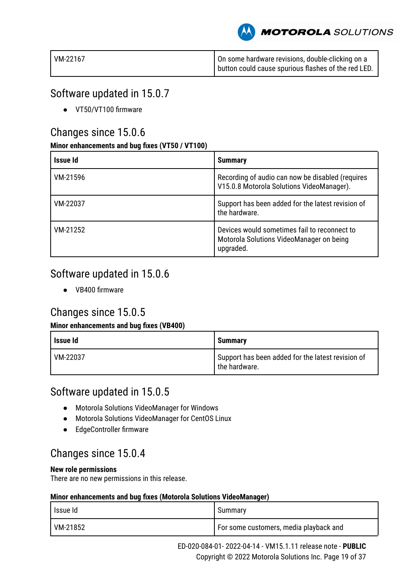**MOTOROLA** SOLUTIONS

| VM-22167 | On some hardware revisions, double-clicking on a      |
|----------|-------------------------------------------------------|
|          | I button could cause spurious flashes of the red LED. |

# Software updated in 15.0.7

● VT50/VT100 firmware

# Changes since 15.0.6

## **Minor enhancements and bug fixes (VT50 / VT100)**

| Issue Id | <b>Summary</b>                                                                                        |
|----------|-------------------------------------------------------------------------------------------------------|
| VM-21596 | Recording of audio can now be disabled (requires<br>V15.0.8 Motorola Solutions VideoManager).         |
| VM-22037 | Support has been added for the latest revision of<br>the hardware.                                    |
| VM-21252 | Devices would sometimes fail to reconnect to<br>Motorola Solutions VideoManager on being<br>upgraded. |

# Software updated in 15.0.6

● VB400 firmware

# Changes since 15.0.5

# **Minor enhancements and bug fixes (VB400)**

| Issue Id | <b>Summary</b>                                                     |
|----------|--------------------------------------------------------------------|
| VM-22037 | Support has been added for the latest revision of<br>the hardware. |

# Software updated in 15.0.5

- Motorola Solutions VideoManager for Windows
- Motorola Solutions VideoManager for CentOS Linux
- EdgeController firmware

# Changes since 15.0.4

### **New role permissions**

There are no new permissions in this release.

| l Issue Id | Summary                                  |
|------------|------------------------------------------|
| VM-21852   | I For some customers, media playback and |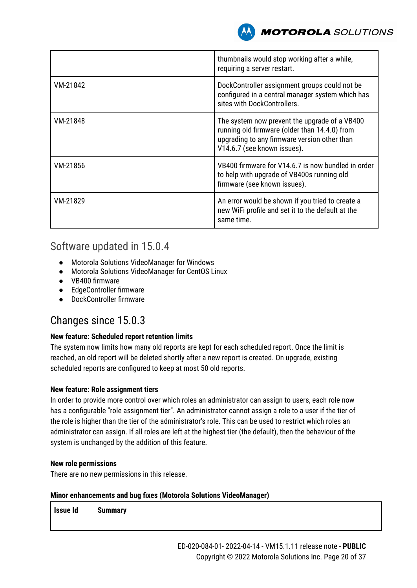

|          | thumbnails would stop working after a while,<br>requiring a server restart.                                                                                                   |
|----------|-------------------------------------------------------------------------------------------------------------------------------------------------------------------------------|
| VM-21842 | DockController assignment groups could not be<br>configured in a central manager system which has<br>sites with DockControllers.                                              |
| VM-21848 | The system now prevent the upgrade of a VB400<br>running old firmware (older than 14.4.0) from<br>upgrading to any firmware version other than<br>V14.6.7 (see known issues). |
| VM-21856 | VB400 firmware for V14.6.7 is now bundled in order<br>to help with upgrade of VB400s running old<br>firmware (see known issues).                                              |
| VM-21829 | An error would be shown if you tried to create a<br>new WiFi profile and set it to the default at the<br>same time.                                                           |

# Software updated in 15.0.4

- Motorola Solutions VideoManager for Windows
- Motorola Solutions VideoManager for CentOS Linux
- VB400 firmware
- EdgeController firmware
- DockController firmware

# Changes since 15.0.3

### **New feature: Scheduled report retention limits**

The system now limits how many old reports are kept for each scheduled report. Once the limit is reached, an old report will be deleted shortly after a new report is created. On upgrade, existing scheduled reports are configured to keep at most 50 old reports.

### **New feature: Role assignment tiers**

In order to provide more control over which roles an administrator can assign to users, each role now has a configurable "role assignment tier". An administrator cannot assign a role to a user if the tier of the role is higher than the tier of the administrator's role. This can be used to restrict which roles an administrator can assign. If all roles are left at the highest tier (the default), then the behaviour of the system is unchanged by the addition of this feature.

### **New role permissions**

There are no new permissions in this release.

| Issue Id | <b>Summary</b> |
|----------|----------------|
|          |                |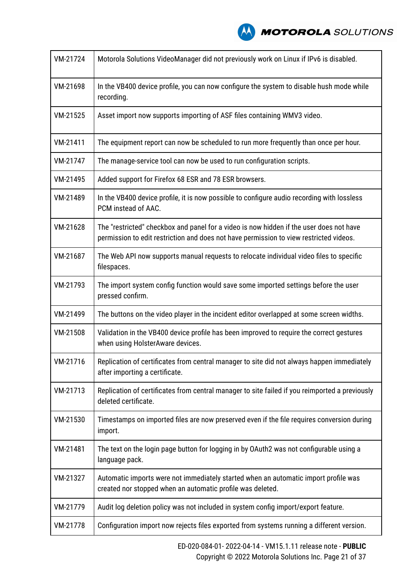| VM-21724 | Motorola Solutions VideoManager did not previously work on Linux if IPv6 is disabled.                                                                                             |
|----------|-----------------------------------------------------------------------------------------------------------------------------------------------------------------------------------|
| VM-21698 | In the VB400 device profile, you can now configure the system to disable hush mode while<br>recording.                                                                            |
| VM-21525 | Asset import now supports importing of ASF files containing WMV3 video.                                                                                                           |
| VM-21411 | The equipment report can now be scheduled to run more frequently than once per hour.                                                                                              |
| VM-21747 | The manage-service tool can now be used to run configuration scripts.                                                                                                             |
| VM-21495 | Added support for Firefox 68 ESR and 78 ESR browsers.                                                                                                                             |
| VM-21489 | In the VB400 device profile, it is now possible to configure audio recording with lossless<br>PCM instead of AAC.                                                                 |
| VM-21628 | The "restricted" checkbox and panel for a video is now hidden if the user does not have<br>permission to edit restriction and does not have permission to view restricted videos. |
| VM-21687 | The Web API now supports manual requests to relocate individual video files to specific<br>filespaces.                                                                            |
| VM-21793 | The import system config function would save some imported settings before the user<br>pressed confirm.                                                                           |
| VM-21499 | The buttons on the video player in the incident editor overlapped at some screen widths.                                                                                          |
| VM-21508 | Validation in the VB400 device profile has been improved to require the correct gestures<br>when using HolsterAware devices.                                                      |
| VM-21716 | Replication of certificates from central manager to site did not always happen immediately<br>after importing a certificate.                                                      |
| VM-21713 | Replication of certificates from central manager to site failed if you reimported a previously<br>deleted certificate.                                                            |
| VM-21530 | Timestamps on imported files are now preserved even if the file requires conversion during<br>import.                                                                             |
| VM-21481 | The text on the login page button for logging in by OAuth2 was not configurable using a<br>language pack.                                                                         |
| VM-21327 | Automatic imports were not immediately started when an automatic import profile was<br>created nor stopped when an automatic profile was deleted.                                 |
| VM-21779 | Audit log deletion policy was not included in system config import/export feature.                                                                                                |
| VM-21778 | Configuration import now rejects files exported from systems running a different version.                                                                                         |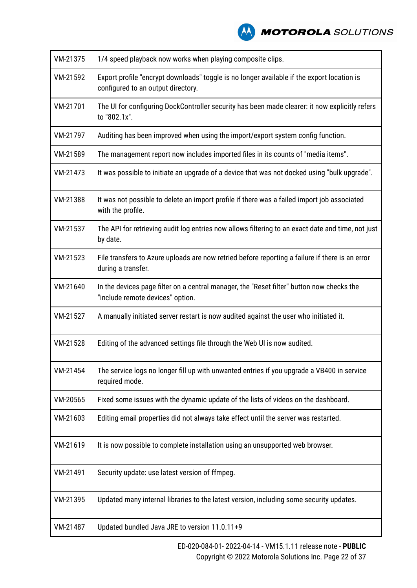

| VM-21375 | 1/4 speed playback now works when playing composite clips.                                                                       |
|----------|----------------------------------------------------------------------------------------------------------------------------------|
| VM-21592 | Export profile "encrypt downloads" toggle is no longer available if the export location is<br>configured to an output directory. |
| VM-21701 | The UI for configuring DockController security has been made clearer: it now explicitly refers<br>to "802.1x".                   |
| VM-21797 | Auditing has been improved when using the import/export system config function.                                                  |
| VM-21589 | The management report now includes imported files in its counts of "media items".                                                |
| VM-21473 | It was possible to initiate an upgrade of a device that was not docked using "bulk upgrade".                                     |
| VM-21388 | It was not possible to delete an import profile if there was a failed import job associated<br>with the profile.                 |
| VM-21537 | The API for retrieving audit log entries now allows filtering to an exact date and time, not just<br>by date.                    |
| VM-21523 | File transfers to Azure uploads are now retried before reporting a failure if there is an error<br>during a transfer.            |
| VM-21640 | In the devices page filter on a central manager, the "Reset filter" button now checks the<br>"include remote devices" option.    |
| VM-21527 | A manually initiated server restart is now audited against the user who initiated it.                                            |
| VM-21528 | Editing of the advanced settings file through the Web UI is now audited.                                                         |
| VM-21454 | The service logs no longer fill up with unwanted entries if you upgrade a VB400 in service<br>required mode.                     |
| VM-20565 | Fixed some issues with the dynamic update of the lists of videos on the dashboard.                                               |
| VM-21603 | Editing email properties did not always take effect until the server was restarted.                                              |
| VM-21619 | It is now possible to complete installation using an unsupported web browser.                                                    |
| VM-21491 | Security update: use latest version of ffmpeg.                                                                                   |
| VM-21395 | Updated many internal libraries to the latest version, including some security updates.                                          |
| VM-21487 | Updated bundled Java JRE to version 11.0.11+9                                                                                    |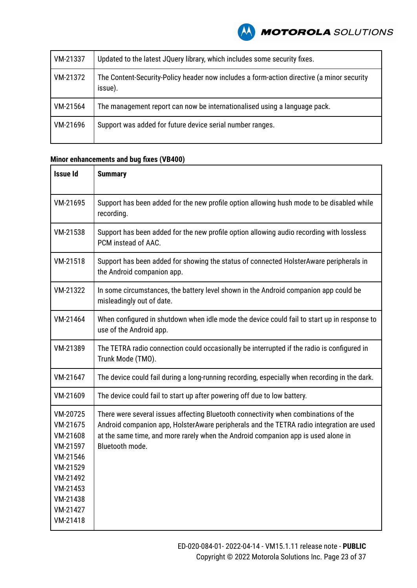| VM-21337 | Updated to the latest JQuery library, which includes some security fixes.                            |
|----------|------------------------------------------------------------------------------------------------------|
| VM-21372 | The Content-Security-Policy header now includes a form-action directive (a minor security<br>issue). |
| VM-21564 | The management report can now be internationalised using a language pack.                            |
| VM-21696 | Support was added for future device serial number ranges.                                            |

# **Minor enhancements and bug fixes (VB400)**

| <b>Issue Id</b>                                                                                                                  | <b>Summary</b>                                                                                                                                                                                                                                                                          |
|----------------------------------------------------------------------------------------------------------------------------------|-----------------------------------------------------------------------------------------------------------------------------------------------------------------------------------------------------------------------------------------------------------------------------------------|
| VM-21695                                                                                                                         | Support has been added for the new profile option allowing hush mode to be disabled while<br>recording.                                                                                                                                                                                 |
| VM-21538                                                                                                                         | Support has been added for the new profile option allowing audio recording with lossless<br>PCM instead of AAC.                                                                                                                                                                         |
| VM-21518                                                                                                                         | Support has been added for showing the status of connected HolsterAware peripherals in<br>the Android companion app.                                                                                                                                                                    |
| VM-21322                                                                                                                         | In some circumstances, the battery level shown in the Android companion app could be<br>misleadingly out of date.                                                                                                                                                                       |
| VM-21464                                                                                                                         | When configured in shutdown when idle mode the device could fail to start up in response to<br>use of the Android app.                                                                                                                                                                  |
| VM-21389                                                                                                                         | The TETRA radio connection could occasionally be interrupted if the radio is configured in<br>Trunk Mode (TMO).                                                                                                                                                                         |
| VM-21647                                                                                                                         | The device could fail during a long-running recording, especially when recording in the dark.                                                                                                                                                                                           |
| VM-21609                                                                                                                         | The device could fail to start up after powering off due to low battery.                                                                                                                                                                                                                |
| VM-20725<br>VM-21675<br>VM-21608<br>VM-21597<br>VM-21546<br>VM-21529<br>VM-21492<br>VM-21453<br>VM-21438<br>VM-21427<br>VM-21418 | There were several issues affecting Bluetooth connectivity when combinations of the<br>Android companion app, HolsterAware peripherals and the TETRA radio integration are used<br>at the same time, and more rarely when the Android companion app is used alone in<br>Bluetooth mode. |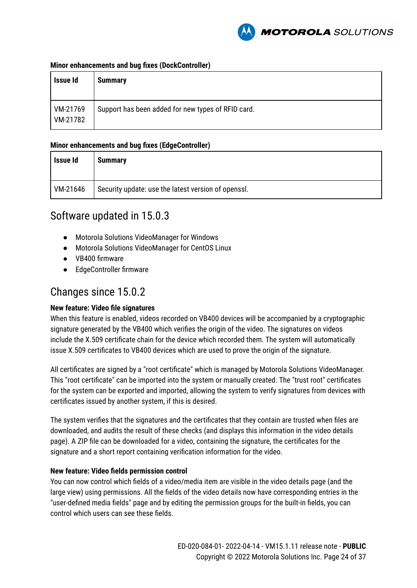

#### **Minor enhancements and bug fixes (DockController)**

| Issue Id             | <b>Summary</b>                                     |
|----------------------|----------------------------------------------------|
| VM-21769<br>VM-21782 | Support has been added for new types of RFID card. |

### **Minor enhancements and bug fixes (EdgeController)**

| Issue Id | <b>Summary</b>                                      |
|----------|-----------------------------------------------------|
| VM-21646 | Security update: use the latest version of openssl. |

# Software updated in 15.0.3

- Motorola Solutions VideoManager for Windows
- Motorola Solutions VideoManager for CentOS Linux
- VB400 firmware
- EdgeController firmware

# Changes since 15.0.2

### **New feature: Video file signatures**

When this feature is enabled, videos recorded on VB400 devices will be accompanied by a cryptographic signature generated by the VB400 which verifies the origin of the video. The signatures on videos include the X.509 certificate chain for the device which recorded them. The system will automatically issue X.509 certificates to VB400 devices which are used to prove the origin of the signature.

All certificates are signed by a "root certificate" which is managed by Motorola Solutions VideoManager. This "root certificate" can be imported into the system or manually created. The "trust root" certificates for the system can be exported and imported, allowing the system to verify signatures from devices with certificates issued by another system, if this is desired.

The system verifies that the signatures and the certificates that they contain are trusted when files are downloaded, and audits the result of these checks (and displays this information in the video details page). A ZIP file can be downloaded for a video, containing the signature, the certificates for the signature and a short report containing verification information for the video.

### **New feature: Video fields permission control**

You can now control which fields of a video/media item are visible in the video details page (and the large view) using permissions. All the fields of the video details now have corresponding entries in the "user-defined media fields" page and by editing the permission groups for the built-in fields, you can control which users can see these fields.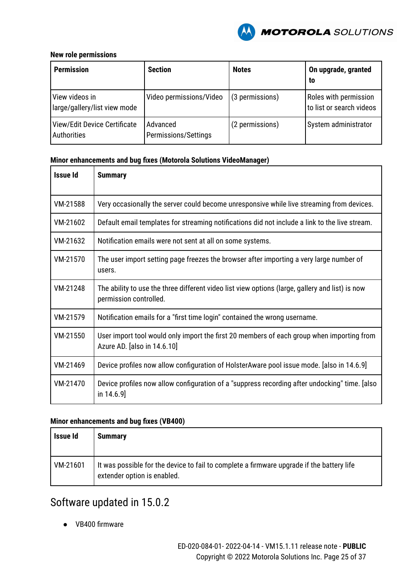

### **New role permissions**

| <b>Permission</b>                              | <b>Section</b>                   | <b>Notes</b>    | On upgrade, granted<br>to                         |
|------------------------------------------------|----------------------------------|-----------------|---------------------------------------------------|
| View videos in<br>large/gallery/list view mode | Video permissions/Video          | (3 permissions) | Roles with permission<br>to list or search videos |
| View/Edit Device Certificate<br>Authorities    | Advanced<br>Permissions/Settings | (2 permissions) | System administrator                              |

### **Minor enhancements and bug fixes (Motorola Solutions VideoManager)**

| <b>Issue Id</b> | <b>Summary</b>                                                                                                            |  |
|-----------------|---------------------------------------------------------------------------------------------------------------------------|--|
| VM-21588        | Very occasionally the server could become unresponsive while live streaming from devices.                                 |  |
| VM-21602        | Default email templates for streaming notifications did not include a link to the live stream.                            |  |
| VM-21632        | Notification emails were not sent at all on some systems.                                                                 |  |
| VM-21570        | The user import setting page freezes the browser after importing a very large number of<br>users.                         |  |
| VM-21248        | The ability to use the three different video list view options (large, gallery and list) is now<br>permission controlled. |  |
| VM-21579        | Notification emails for a "first time login" contained the wrong username.                                                |  |
| VM-21550        | User import tool would only import the first 20 members of each group when importing from<br>Azure AD. [also in 14.6.10]  |  |
| VM-21469        | Device profiles now allow configuration of HolsterAware pool issue mode. [also in 14.6.9]                                 |  |
| VM-21470        | Device profiles now allow configuration of a "suppress recording after undocking" time. [also<br>in $14.6.9$ ]            |  |

### **Minor enhancements and bug fixes (VB400)**

| <b>Issue Id</b> | <b>Summary</b>                                                                                                           |
|-----------------|--------------------------------------------------------------------------------------------------------------------------|
| VM-21601        | It was possible for the device to fail to complete a firmware upgrade if the battery life<br>extender option is enabled. |

# Software updated in 15.0.2

● VB400 firmware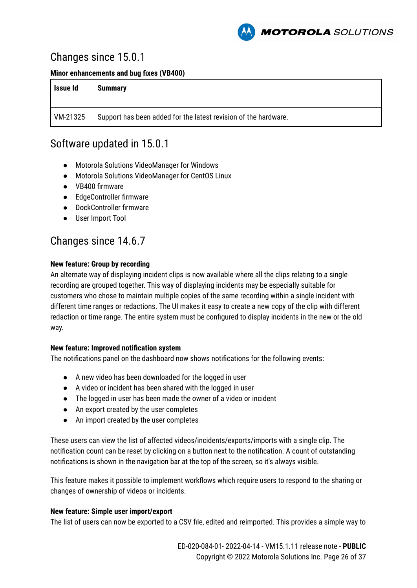

# Changes since 15.0.1

**Minor enhancements and bug fixes (VB400)**

| Issue Id | <b>Summary</b>                                                  |
|----------|-----------------------------------------------------------------|
| VM-21325 | Support has been added for the latest revision of the hardware. |

# Software updated in 15.0.1

- Motorola Solutions VideoManager for Windows
- Motorola Solutions VideoManager for CentOS Linux
- VB400 firmware
- EdgeController firmware
- DockController firmware
- User Import Tool

# Changes since 14.6.7

### **New feature: Group by recording**

An alternate way of displaying incident clips is now available where all the clips relating to a single recording are grouped together. This way of displaying incidents may be especially suitable for customers who chose to maintain multiple copies of the same recording within a single incident with different time ranges or redactions. The UI makes it easy to create a new copy of the clip with different redaction or time range. The entire system must be configured to display incidents in the new or the old way.

### **New feature: Improved notification system**

The notifications panel on the dashboard now shows notifications for the following events:

- A new video has been downloaded for the logged in user
- A video or incident has been shared with the logged in user
- The logged in user has been made the owner of a video or incident
- An export created by the user completes
- An import created by the user completes

These users can view the list of affected videos/incidents/exports/imports with a single clip. The notification count can be reset by clicking on a button next to the notification. A count of outstanding notifications is shown in the navigation bar at the top of the screen, so it's always visible.

This feature makes it possible to implement workflows which require users to respond to the sharing or changes of ownership of videos or incidents.

### **New feature: Simple user import/export**

The list of users can now be exported to a CSV file, edited and reimported. This provides a simple way to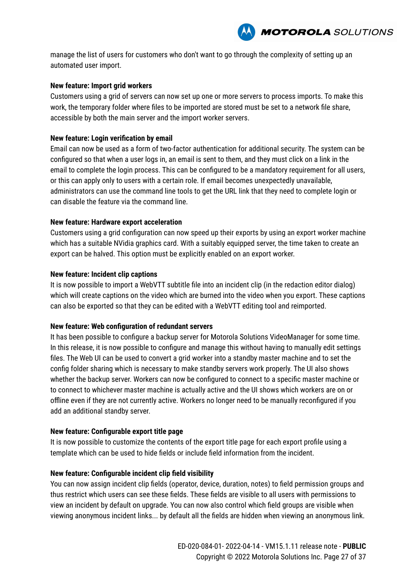

manage the list of users for customers who don't want to go through the complexity of setting up an automated user import.

#### **New feature: Import grid workers**

Customers using a grid of servers can now set up one or more servers to process imports. To make this work, the temporary folder where files to be imported are stored must be set to a network file share, accessible by both the main server and the import worker servers.

#### **New feature: Login verification by email**

Email can now be used as a form of two-factor authentication for additional security. The system can be configured so that when a user logs in, an email is sent to them, and they must click on a link in the email to complete the login process. This can be configured to be a mandatory requirement for all users, or this can apply only to users with a certain role. If email becomes unexpectedly unavailable, administrators can use the command line tools to get the URL link that they need to complete login or can disable the feature via the command line.

#### **New feature: Hardware export acceleration**

Customers using a grid configuration can now speed up their exports by using an export worker machine which has a suitable NVidia graphics card. With a suitably equipped server, the time taken to create an export can be halved. This option must be explicitly enabled on an export worker.

#### **New feature: Incident clip captions**

It is now possible to import a WebVTT subtitle file into an incident clip (in the redaction editor dialog) which will create captions on the video which are burned into the video when you export. These captions can also be exported so that they can be edited with a WebVTT editing tool and reimported.

#### **New feature: Web configuration of redundant servers**

It has been possible to configure a backup server for Motorola Solutions VideoManager for some time. In this release, it is now possible to configure and manage this without having to manually edit settings files. The Web UI can be used to convert a grid worker into a standby master machine and to set the config folder sharing which is necessary to make standby servers work properly. The UI also shows whether the backup server. Workers can now be configured to connect to a specific master machine or to connect to whichever master machine is actually active and the UI shows which workers are on or offline even if they are not currently active. Workers no longer need to be manually reconfigured if you add an additional standby server.

#### **New feature: Configurable export title page**

It is now possible to customize the contents of the export title page for each export profile using a template which can be used to hide fields or include field information from the incident.

#### **New feature: Configurable incident clip field visibility**

You can now assign incident clip fields (operator, device, duration, notes) to field permission groups and thus restrict which users can see these fields. These fields are visible to all users with permissions to view an incident by default on upgrade. You can now also control which field groups are visible when viewing anonymous incident links... by default all the fields are hidden when viewing an anonymous link.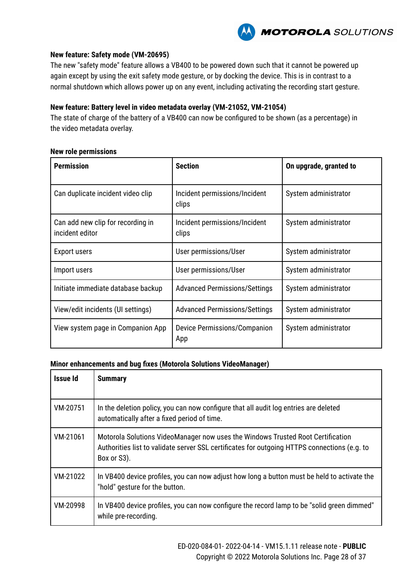

#### **New feature: Safety mode (VM-20695)**

The new "safety mode" feature allows a VB400 to be powered down such that it cannot be powered up again except by using the exit safety mode gesture, or by docking the device. This is in contrast to a normal shutdown which allows power up on any event, including activating the recording start gesture.

### **New feature: Battery level in video metadata overlay (VM-21052, VM-21054)**

The state of charge of the battery of a VB400 can now be configured to be shown (as a percentage) in the video metadata overlay.

#### **New role permissions**

| <b>Permission</b>                                    | <b>Section</b>                             | On upgrade, granted to |
|------------------------------------------------------|--------------------------------------------|------------------------|
| Can duplicate incident video clip                    | Incident permissions/Incident<br>clips     | System administrator   |
| Can add new clip for recording in<br>incident editor | Incident permissions/Incident<br>clips     | System administrator   |
| <b>Export users</b>                                  | User permissions/User                      | System administrator   |
| Import users                                         | User permissions/User                      | System administrator   |
| Initiate immediate database backup                   | <b>Advanced Permissions/Settings</b>       | System administrator   |
| View/edit incidents (UI settings)                    | <b>Advanced Permissions/Settings</b>       | System administrator   |
| View system page in Companion App                    | <b>Device Permissions/Companion</b><br>App | System administrator   |

| Issue Id | <b>Summary</b>                                                                                                                                                                                 |
|----------|------------------------------------------------------------------------------------------------------------------------------------------------------------------------------------------------|
| VM-20751 | In the deletion policy, you can now configure that all audit log entries are deleted<br>automatically after a fixed period of time.                                                            |
| VM-21061 | Motorola Solutions VideoManager now uses the Windows Trusted Root Certification<br>Authorities list to validate server SSL certificates for outgoing HTTPS connections (e.g. to<br>Box or S3). |
| VM-21022 | In VB400 device profiles, you can now adjust how long a button must be held to activate the<br>"hold" gesture for the button.                                                                  |
| VM-20998 | In VB400 device profiles, you can now configure the record lamp to be "solid green dimmed"<br>while pre-recording.                                                                             |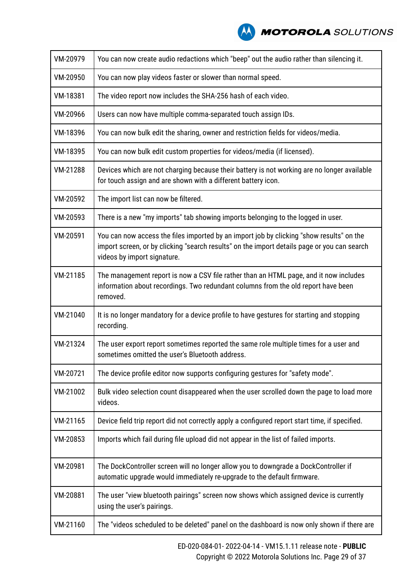| VM-20979 | You can now create audio redactions which "beep" out the audio rather than silencing it.                                                                                                                               |
|----------|------------------------------------------------------------------------------------------------------------------------------------------------------------------------------------------------------------------------|
| VM-20950 | You can now play videos faster or slower than normal speed.                                                                                                                                                            |
| VM-18381 | The video report now includes the SHA-256 hash of each video.                                                                                                                                                          |
| VM-20966 | Users can now have multiple comma-separated touch assign IDs.                                                                                                                                                          |
| VM-18396 | You can now bulk edit the sharing, owner and restriction fields for videos/media.                                                                                                                                      |
| VM-18395 | You can now bulk edit custom properties for videos/media (if licensed).                                                                                                                                                |
| VM-21288 | Devices which are not charging because their battery is not working are no longer available<br>for touch assign and are shown with a different battery icon.                                                           |
| VM-20592 | The import list can now be filtered.                                                                                                                                                                                   |
| VM-20593 | There is a new "my imports" tab showing imports belonging to the logged in user.                                                                                                                                       |
| VM-20591 | You can now access the files imported by an import job by clicking "show results" on the<br>import screen, or by clicking "search results" on the import details page or you can search<br>videos by import signature. |
| VM-21185 | The management report is now a CSV file rather than an HTML page, and it now includes<br>information about recordings. Two redundant columns from the old report have been<br>removed.                                 |
| VM-21040 | It is no longer mandatory for a device profile to have gestures for starting and stopping<br>recording.                                                                                                                |
| VM-21324 | The user export report sometimes reported the same role multiple times for a user and<br>sometimes omitted the user's Bluetooth address.                                                                               |
| VM-20721 | The device profile editor now supports configuring gestures for "safety mode".                                                                                                                                         |
| VM-21002 | Bulk video selection count disappeared when the user scrolled down the page to load more<br>videos.                                                                                                                    |
| VM-21165 | Device field trip report did not correctly apply a configured report start time, if specified.                                                                                                                         |
| VM-20853 | Imports which fail during file upload did not appear in the list of failed imports.                                                                                                                                    |
| VM-20981 | The DockController screen will no longer allow you to downgrade a DockController if<br>automatic upgrade would immediately re-upgrade to the default firmware.                                                         |
| VM-20881 | The user "view bluetooth pairings" screen now shows which assigned device is currently<br>using the user's pairings.                                                                                                   |
| VM-21160 | The "videos scheduled to be deleted" panel on the dashboard is now only shown if there are                                                                                                                             |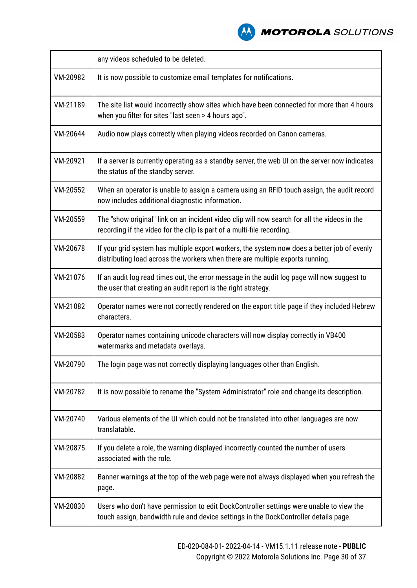|          | any videos scheduled to be deleted.                                                                                                                                             |
|----------|---------------------------------------------------------------------------------------------------------------------------------------------------------------------------------|
| VM-20982 | It is now possible to customize email templates for notifications.                                                                                                              |
| VM-21189 | The site list would incorrectly show sites which have been connected for more than 4 hours<br>when you filter for sites "last seen > 4 hours ago".                              |
| VM-20644 | Audio now plays correctly when playing videos recorded on Canon cameras.                                                                                                        |
| VM-20921 | If a server is currently operating as a standby server, the web UI on the server now indicates<br>the status of the standby server.                                             |
| VM-20552 | When an operator is unable to assign a camera using an RFID touch assign, the audit record<br>now includes additional diagnostic information.                                   |
| VM-20559 | The "show original" link on an incident video clip will now search for all the videos in the<br>recording if the video for the clip is part of a multi-file recording.          |
| VM-20678 | If your grid system has multiple export workers, the system now does a better job of evenly<br>distributing load across the workers when there are multiple exports running.    |
| VM-21076 | If an audit log read times out, the error message in the audit log page will now suggest to<br>the user that creating an audit report is the right strategy.                    |
| VM-21082 | Operator names were not correctly rendered on the export title page if they included Hebrew<br>characters.                                                                      |
| VM-20583 | Operator names containing unicode characters will now display correctly in VB400<br>watermarks and metadata overlays.                                                           |
| VM-20790 | The login page was not correctly displaying languages other than English.                                                                                                       |
| VM-20782 | It is now possible to rename the "System Administrator" role and change its description.                                                                                        |
| VM-20740 | Various elements of the UI which could not be translated into other languages are now<br>translatable.                                                                          |
| VM-20875 | If you delete a role, the warning displayed incorrectly counted the number of users<br>associated with the role.                                                                |
| VM-20882 | Banner warnings at the top of the web page were not always displayed when you refresh the<br>page.                                                                              |
| VM-20830 | Users who don't have permission to edit DockController settings were unable to view the<br>touch assign, bandwidth rule and device settings in the DockController details page. |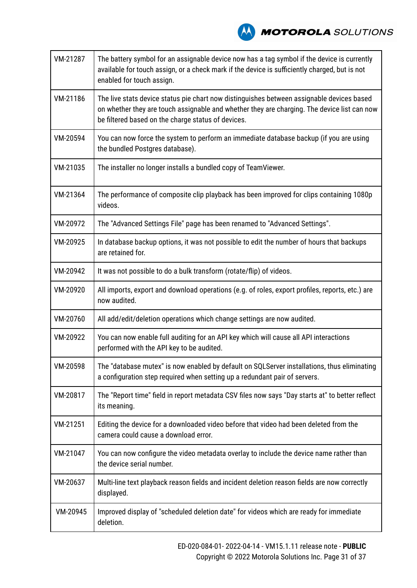# **A MOTOROLA** SOLUTIONS

| VM-21287 | The battery symbol for an assignable device now has a tag symbol if the device is currently<br>available for touch assign, or a check mark if the device is sufficiently charged, but is not<br>enabled for touch assign.                      |  |
|----------|------------------------------------------------------------------------------------------------------------------------------------------------------------------------------------------------------------------------------------------------|--|
| VM-21186 | The live stats device status pie chart now distinguishes between assignable devices based<br>on whether they are touch assignable and whether they are charging. The device list can now<br>be filtered based on the charge status of devices. |  |
| VM-20594 | You can now force the system to perform an immediate database backup (if you are using<br>the bundled Postgres database).                                                                                                                      |  |
| VM-21035 | The installer no longer installs a bundled copy of TeamViewer.                                                                                                                                                                                 |  |
| VM-21364 | The performance of composite clip playback has been improved for clips containing 1080p<br>videos.                                                                                                                                             |  |
| VM-20972 | The "Advanced Settings File" page has been renamed to "Advanced Settings".                                                                                                                                                                     |  |
| VM-20925 | In database backup options, it was not possible to edit the number of hours that backups<br>are retained for.                                                                                                                                  |  |
| VM-20942 | It was not possible to do a bulk transform (rotate/flip) of videos.                                                                                                                                                                            |  |
| VM-20920 | All imports, export and download operations (e.g. of roles, export profiles, reports, etc.) are<br>now audited.                                                                                                                                |  |
| VM-20760 | All add/edit/deletion operations which change settings are now audited.                                                                                                                                                                        |  |
| VM-20922 | You can now enable full auditing for an API key which will cause all API interactions<br>performed with the API key to be audited.                                                                                                             |  |
| VM-20598 | The "database mutex" is now enabled by default on SQLServer installations, thus eliminating<br>a configuration step required when setting up a redundant pair of servers.                                                                      |  |
| VM-20817 | The "Report time" field in report metadata CSV files now says "Day starts at" to better reflect<br>its meaning.                                                                                                                                |  |
| VM-21251 | Editing the device for a downloaded video before that video had been deleted from the<br>camera could cause a download error.                                                                                                                  |  |
| VM-21047 | You can now configure the video metadata overlay to include the device name rather than<br>the device serial number.                                                                                                                           |  |
| VM-20637 | Multi-line text playback reason fields and incident deletion reason fields are now correctly<br>displayed.                                                                                                                                     |  |
| VM-20945 | Improved display of "scheduled deletion date" for videos which are ready for immediate<br>deletion.                                                                                                                                            |  |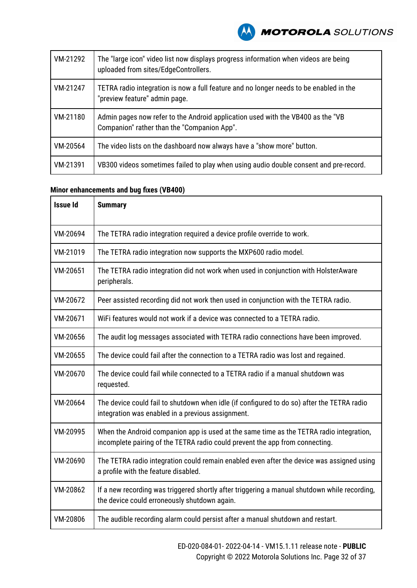

| VM-21292 | The "large icon" video list now displays progress information when videos are being<br>uploaded from sites/EdgeControllers.    |  |
|----------|--------------------------------------------------------------------------------------------------------------------------------|--|
| VM-21247 | TETRA radio integration is now a full feature and no longer needs to be enabled in the<br>"preview feature" admin page.        |  |
| VM-21180 | Admin pages now refer to the Android application used with the VB400 as the "VB<br>Companion" rather than the "Companion App". |  |
| VM-20564 | The video lists on the dashboard now always have a "show more" button.                                                         |  |
| VM-21391 | VB300 videos sometimes failed to play when using audio double consent and pre-record.                                          |  |

### **Minor enhancements and bug fixes (VB400)**

| <b>Issue Id</b> | <b>Summary</b>                                                                                                                                                          |  |
|-----------------|-------------------------------------------------------------------------------------------------------------------------------------------------------------------------|--|
| VM-20694        | The TETRA radio integration required a device profile override to work.                                                                                                 |  |
| VM-21019        | The TETRA radio integration now supports the MXP600 radio model.                                                                                                        |  |
| VM-20651        | The TETRA radio integration did not work when used in conjunction with HolsterAware<br>peripherals.                                                                     |  |
| VM-20672        | Peer assisted recording did not work then used in conjunction with the TETRA radio.                                                                                     |  |
| VM-20671        | WIFI features would not work if a device was connected to a TETRA radio.                                                                                                |  |
| VM-20656        | The audit log messages associated with TETRA radio connections have been improved.                                                                                      |  |
| VM-20655        | The device could fail after the connection to a TETRA radio was lost and regained.                                                                                      |  |
| VM-20670        | The device could fail while connected to a TETRA radio if a manual shutdown was<br>requested.                                                                           |  |
| VM-20664        | The device could fail to shutdown when idle (if configured to do so) after the TETRA radio<br>integration was enabled in a previous assignment.                         |  |
| VM-20995        | When the Android companion app is used at the same time as the TETRA radio integration,<br>incomplete pairing of the TETRA radio could prevent the app from connecting. |  |
| VM-20690        | The TETRA radio integration could remain enabled even after the device was assigned using<br>a profile with the feature disabled.                                       |  |
| VM-20862        | If a new recording was triggered shortly after triggering a manual shutdown while recording,<br>the device could erroneously shutdown again.                            |  |
| VM-20806        | The audible recording alarm could persist after a manual shutdown and restart.                                                                                          |  |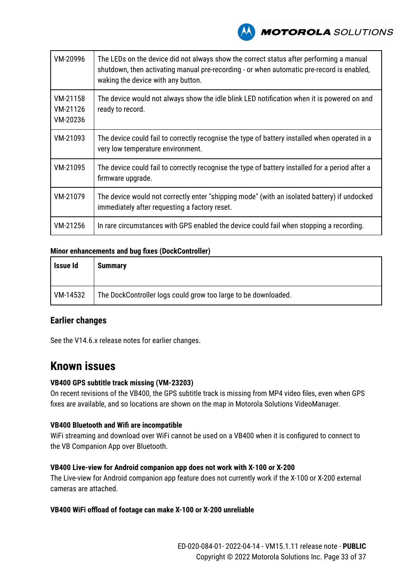

| VM-20996                         | The LEDs on the device did not always show the correct status after performing a manual<br>shutdown, then activating manual pre-recording - or when automatic pre-record is enabled,<br>waking the device with any button. |  |
|----------------------------------|----------------------------------------------------------------------------------------------------------------------------------------------------------------------------------------------------------------------------|--|
| VM-21158<br>VM-21126<br>VM-20236 | The device would not always show the idle blink LED notification when it is powered on and<br>ready to record.                                                                                                             |  |
| VM-21093                         | The device could fail to correctly recognise the type of battery installed when operated in a<br>very low temperature environment.                                                                                         |  |
| VM-21095                         | The device could fail to correctly recognise the type of battery installed for a period after a<br>firmware upgrade.                                                                                                       |  |
| VM-21079                         | The device would not correctly enter "shipping mode" (with an isolated battery) if undocked<br>immediately after requesting a factory reset.                                                                               |  |
| VM-21256                         | In rare circumstances with GPS enabled the device could fail when stopping a recording.                                                                                                                                    |  |

### **Minor enhancements and bug fixes (DockController)**

| Issue Id | <b>Summary</b>                                                 |
|----------|----------------------------------------------------------------|
| VM-14532 | The DockController logs could grow too large to be downloaded. |

### **Earlier changes**

See the V14.6.x release notes for earlier changes.

# **Known issues**

#### **VB400 GPS subtitle track missing (VM-23203)**

On recent revisions of the VB400, the GPS subtitle track is missing from MP4 video files, even when GPS fixes are available, and so locations are shown on the map in Motorola Solutions VideoManager.

#### **VB400 Bluetooth and Wifi are incompatible**

WiFi streaming and download over WiFi cannot be used on a VB400 when it is configured to connect to the VB Companion App over Bluetooth.

#### **VB400 Live-view for Android companion app does not work with X-100 or X-200**

The Live-view for Android companion app feature does not currently work if the X-100 or X-200 external cameras are attached.

### **VB400 WiFi offload of footage can make X-100 or X-200 unreliable**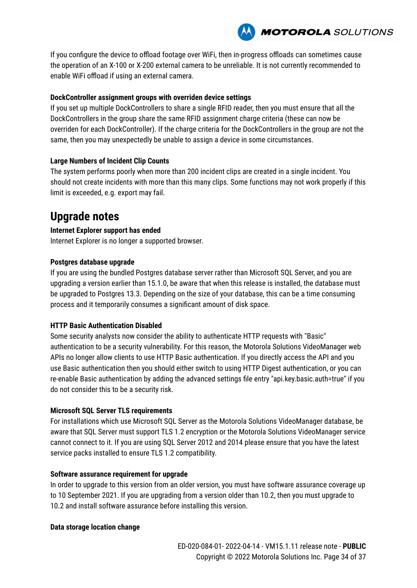

If you configure the device to offload footage over WiFi, then in-progress offloads can sometimes cause the operation of an X-100 or X-200 external camera to be unreliable. It is not currently recommended to enable WiFi offload if using an external camera.

### **DockController assignment groups with overriden device settings**

If you set up multiple DockControllers to share a single RFID reader, then you must ensure that all the DockControllers in the group share the same RFID assignment charge criteria (these can now be overriden for each DockController). If the charge criteria for the DockControllers in the group are not the same, then you may unexpectedly be unable to assign a device in some circumstances.

### **Large Numbers of Incident Clip Counts**

The system performs poorly when more than 200 incident clips are created in a single incident. You should not create incidents with more than this many clips. Some functions may not work properly if this limit is exceeded, e.g. export may fail.

# **Upgrade notes**

### **Internet Explorer support has ended**

Internet Explorer is no longer a supported browser.

### **Postgres database upgrade**

If you are using the bundled Postgres database server rather than Microsoft SQL Server, and you are upgrading a version earlier than 15.1.0, be aware that when this release is installed, the database must be upgraded to Postgres 13.3. Depending on the size of your database, this can be a time consuming process and it temporarily consumes a significant amount of disk space.

### **HTTP Basic Authentication Disabled**

Some security analysts now consider the ability to authenticate HTTP requests with "Basic" authentication to be a security vulnerability. For this reason, the Motorola Solutions VideoManager web APIs no longer allow clients to use HTTP Basic authentication. If you directly access the API and you use Basic authentication then you should either switch to using HTTP Digest authentication, or you can re-enable Basic authentication by adding the advanced settings file entry "api.key.basic.auth=true" if you do not consider this to be a security risk.

### **Microsoft SQL Server TLS requirements**

For installations which use Microsoft SQL Server as the Motorola Solutions VideoManager database, be aware that SQL Server must support TLS 1.2 encryption or the Motorola Solutions VideoManager service cannot connect to it. If you are using SQL Server 2012 and 2014 please ensure that you have the latest service packs installed to ensure TLS 1.2 compatibility.

### **Software assurance requirement for upgrade**

In order to upgrade to this version from an older version, you must have software assurance coverage up to 10 September 2021. If you are upgrading from a version older than 10.2, then you must upgrade to 10.2 and install software assurance before installing this version.

### **Data storage location change**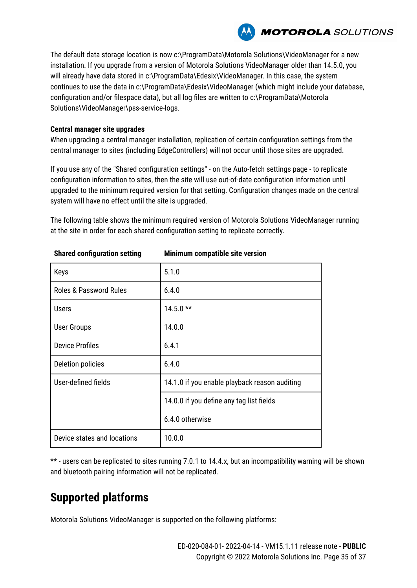

The default data storage location is now c:\ProgramData\Motorola Solutions\VideoManager for a new installation. If you upgrade from a version of Motorola Solutions VideoManager older than 14.5.0, you will already have data stored in c:\ProgramData\Edesix\VideoManager. In this case, the system continues to use the data in c:\ProgramData\Edesix\VideoManager (which might include your database, configuration and/or filespace data), but all log files are written to c:\ProgramData\Motorola Solutions\VideoManager\pss-service-logs.

#### **Central manager site upgrades**

When upgrading a central manager installation, replication of certain configuration settings from the central manager to sites (including EdgeControllers) will not occur until those sites are upgraded.

If you use any of the "Shared configuration settings" - on the Auto-fetch settings page - to replicate configuration information to sites, then the site will use out-of-date configuration information until upgraded to the minimum required version for that setting. Configuration changes made on the central system will have no effect until the site is upgraded.

The following table shows the minimum required version of Motorola Solutions VideoManager running at the site in order for each shared configuration setting to replicate correctly.

| Keys                              | 5.1.0                                         |  |  |  |
|-----------------------------------|-----------------------------------------------|--|--|--|
| <b>Roles &amp; Password Rules</b> | 6.4.0                                         |  |  |  |
| <b>Users</b>                      | $14.5.0**$                                    |  |  |  |
| <b>User Groups</b>                | 14.0.0                                        |  |  |  |
| <b>Device Profiles</b>            | 6.4.1                                         |  |  |  |
| Deletion policies                 | 6.4.0                                         |  |  |  |
| User-defined fields               | 14.1.0 if you enable playback reason auditing |  |  |  |
|                                   | 14.0.0 if you define any tag list fields      |  |  |  |
|                                   | 6.4.0 otherwise                               |  |  |  |
| Device states and locations       | 10.0.0                                        |  |  |  |

**Shared configuration setting Minimum compatible site version**

\*\* - users can be replicated to sites running 7.0.1 to 14.4.x, but an incompatibility warning will be shown and bluetooth pairing information will not be replicated.

# **Supported platforms**

Motorola Solutions VideoManager is supported on the following platforms: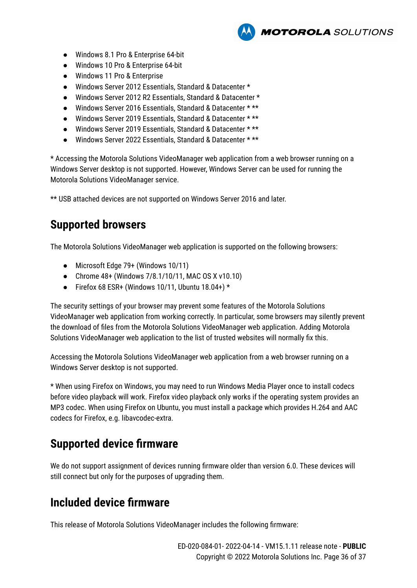- Windows 8.1 Pro & Enterprise 64-bit
- Windows 10 Pro & Enterprise 64-bit
- Windows 11 Pro & Enterprise
- Windows Server 2012 Essentials, Standard & Datacenter \*
- Windows Server 2012 R2 Essentials, Standard & Datacenter \*
- Windows Server 2016 Essentials, Standard & Datacenter \* \*\*
- Windows Server 2019 Essentials, Standard & Datacenter \* \*\*
- Windows Server 2019 Essentials, Standard & Datacenter \* \*\*
- Windows Server 2022 Essentials, Standard & Datacenter \* \*\*

\* Accessing the Motorola Solutions VideoManager web application from a web browser running on a Windows Server desktop is not supported. However, Windows Server can be used for running the Motorola Solutions VideoManager service.

**MOTOROLA** SOLUTIONS

\*\* USB attached devices are not supported on Windows Server 2016 and later.

# **Supported browsers**

The Motorola Solutions VideoManager web application is supported on the following browsers:

- Microsoft Edge 79+ (Windows 10/11)
- Chrome 48+ (Windows 7/8.1/10/11, MAC OS X v10.10)
- Firefox 68 ESR+ (Windows 10/11, Ubuntu 18.04+)  $*$

The security settings of your browser may prevent some features of the Motorola Solutions VideoManager web application from working correctly. In particular, some browsers may silently prevent the download of files from the Motorola Solutions VideoManager web application. Adding Motorola Solutions VideoManager web application to the list of trusted websites will normally fix this.

Accessing the Motorola Solutions VideoManager web application from a web browser running on a Windows Server desktop is not supported.

\* When using Firefox on Windows, you may need to run Windows Media Player once to install codecs before video playback will work. Firefox video playback only works if the operating system provides an MP3 codec. When using Firefox on Ubuntu, you must install a package which provides H.264 and AAC codecs for Firefox, e.g. libavcodec-extra.

# **Supported device firmware**

We do not support assignment of devices running firmware older than version 6.0. These devices will still connect but only for the purposes of upgrading them.

# **Included device firmware**

This release of Motorola Solutions VideoManager includes the following firmware: